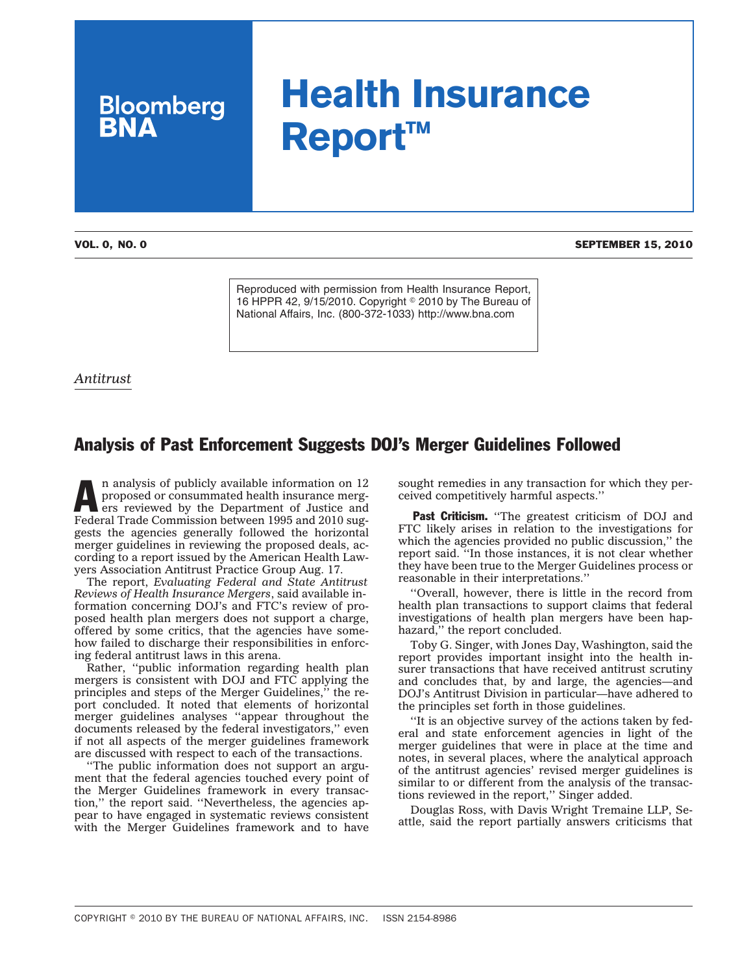# **Health Insurance Report™**

**Bloomberg**<br>**BNA** 

VOL. 0, NO. 0 SEPTEMBER 15, 2010

Reproduced with permission from Health Insurance Report, 16 HPPR 42, 9/15/2010. Copyright  $\degree$  2010 by The Bureau of National Affairs, Inc. (800-372-1033) http://www.bna.com

*Antitrust*

## Analysis of Past Enforcement Suggests DOJ's Merger Guidelines Followed

n analysis of publicly available information on 12 proposed or consummated health insurance mergers reviewed by the Department of Justice and Federal Trade Commission between 1995 and 2010 suggests the agencies generally followed the horizontal merger guidelines in reviewing the proposed deals, according to a report issued by the American Health Lawyers Association Antitrust Practice Group Aug. 17.

The report, *Evaluating Federal and State Antitrust Reviews of Health Insurance Mergers*, said available information concerning DOJ's and FTC's review of proposed health plan mergers does not support a charge, offered by some critics, that the agencies have somehow failed to discharge their responsibilities in enforcing federal antitrust laws in this arena.

Rather, ''public information regarding health plan mergers is consistent with DOJ and FTC applying the principles and steps of the Merger Guidelines,'' the report concluded. It noted that elements of horizontal merger guidelines analyses ''appear throughout the documents released by the federal investigators,'' even if not all aspects of the merger guidelines framework are discussed with respect to each of the transactions.

''The public information does not support an argument that the federal agencies touched every point of the Merger Guidelines framework in every transaction,'' the report said. ''Nevertheless, the agencies appear to have engaged in systematic reviews consistent with the Merger Guidelines framework and to have sought remedies in any transaction for which they perceived competitively harmful aspects.''

Past Criticism. "The greatest criticism of DOJ and FTC likely arises in relation to the investigations for which the agencies provided no public discussion," the report said. ''In those instances, it is not clear whether they have been true to the Merger Guidelines process or reasonable in their interpretations.''

''Overall, however, there is little in the record from health plan transactions to support claims that federal investigations of health plan mergers have been haphazard," the report concluded.

Toby G. Singer, with Jones Day, Washington, said the report provides important insight into the health insurer transactions that have received antitrust scrutiny and concludes that, by and large, the agencies—and DOJ's Antitrust Division in particular—have adhered to the principles set forth in those guidelines.

''It is an objective survey of the actions taken by federal and state enforcement agencies in light of the merger guidelines that were in place at the time and notes, in several places, where the analytical approach of the antitrust agencies' revised merger guidelines is similar to or different from the analysis of the transactions reviewed in the report,'' Singer added.

Douglas Ross, with Davis Wright Tremaine LLP, Seattle, said the report partially answers criticisms that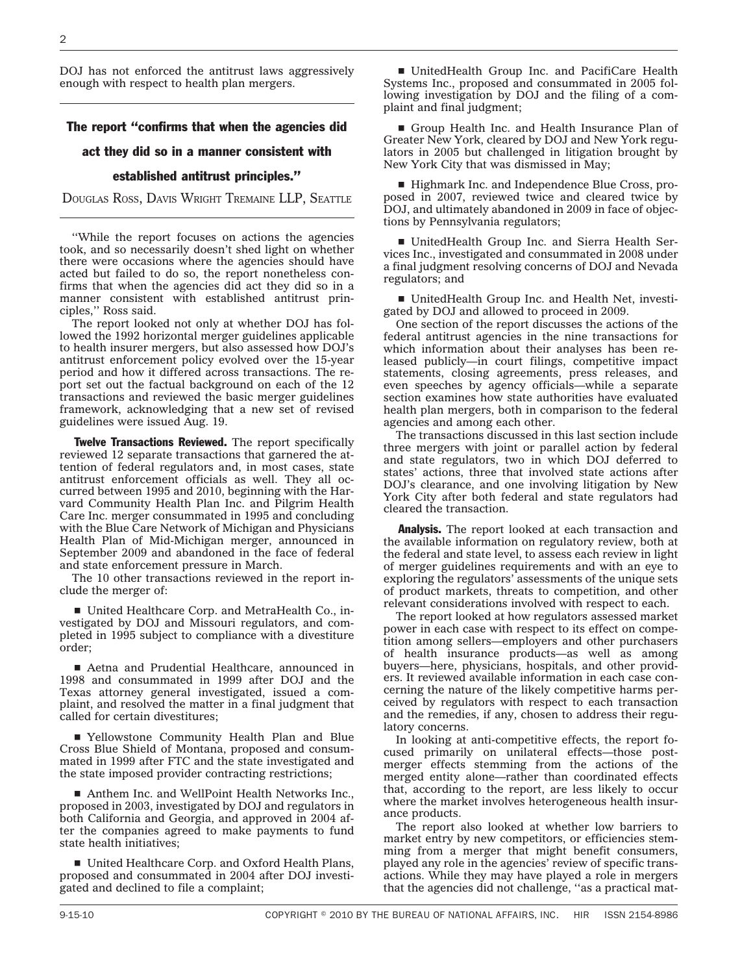DOJ has not enforced the antitrust laws aggressively enough with respect to health plan mergers.

### The report "confirms that when the agencies did

### act they did so in a manner consistent with

#### established antitrust principles.''

DOUGLAS ROSS, DAVIS WRIGHT TREMAINE LLP, SEATTLE

''While the report focuses on actions the agencies took, and so necessarily doesn't shed light on whether there were occasions where the agencies should have acted but failed to do so, the report nonetheless confirms that when the agencies did act they did so in a manner consistent with established antitrust principles,'' Ross said.

The report looked not only at whether DOJ has followed the 1992 horizontal merger guidelines applicable to health insurer mergers, but also assessed how DOJ's antitrust enforcement policy evolved over the 15-year period and how it differed across transactions. The report set out the factual background on each of the 12 transactions and reviewed the basic merger guidelines framework, acknowledging that a new set of revised guidelines were issued Aug. 19.

**Twelve Transactions Reviewed.** The report specifically reviewed 12 separate transactions that garnered the attention of federal regulators and, in most cases, state antitrust enforcement officials as well. They all occurred between 1995 and 2010, beginning with the Harvard Community Health Plan Inc. and Pilgrim Health Care Inc. merger consummated in 1995 and concluding with the Blue Care Network of Michigan and Physicians Health Plan of Mid-Michigan merger, announced in September 2009 and abandoned in the face of federal and state enforcement pressure in March.

The 10 other transactions reviewed in the report include the merger of:

■ United Healthcare Corp. and MetraHealth Co., investigated by DOJ and Missouri regulators, and completed in 1995 subject to compliance with a divestiture order;

■ Aetna and Prudential Healthcare, announced in 1998 and consummated in 1999 after DOJ and the Texas attorney general investigated, issued a complaint, and resolved the matter in a final judgment that called for certain divestitures;

■ Yellowstone Community Health Plan and Blue Cross Blue Shield of Montana, proposed and consummated in 1999 after FTC and the state investigated and the state imposed provider contracting restrictions;

■ Anthem Inc. and WellPoint Health Networks Inc., proposed in 2003, investigated by DOJ and regulators in both California and Georgia, and approved in 2004 after the companies agreed to make payments to fund state health initiatives;

■ United Healthcare Corp. and Oxford Health Plans, proposed and consummated in 2004 after DOJ investigated and declined to file a complaint;

■ UnitedHealth Group Inc. and PacifiCare Health Systems Inc., proposed and consummated in 2005 following investigation by DOJ and the filing of a complaint and final judgment;

Group Health Inc. and Health Insurance Plan of Greater New York, cleared by DOJ and New York regulators in 2005 but challenged in litigation brought by New York City that was dismissed in May;

■ Highmark Inc. and Independence Blue Cross, proposed in 2007, reviewed twice and cleared twice by DOJ, and ultimately abandoned in 2009 in face of objections by Pennsylvania regulators;

■ UnitedHealth Group Inc. and Sierra Health Services Inc., investigated and consummated in 2008 under a final judgment resolving concerns of DOJ and Nevada regulators; and

■ UnitedHealth Group Inc. and Health Net, investigated by DOJ and allowed to proceed in 2009.

One section of the report discusses the actions of the federal antitrust agencies in the nine transactions for which information about their analyses has been released publicly—in court filings, competitive impact statements, closing agreements, press releases, and even speeches by agency officials—while a separate section examines how state authorities have evaluated health plan mergers, both in comparison to the federal agencies and among each other.

The transactions discussed in this last section include three mergers with joint or parallel action by federal and state regulators, two in which DOJ deferred to states' actions, three that involved state actions after DOJ's clearance, and one involving litigation by New York City after both federal and state regulators had cleared the transaction.

**Analysis.** The report looked at each transaction and the available information on regulatory review, both at the federal and state level, to assess each review in light of merger guidelines requirements and with an eye to exploring the regulators' assessments of the unique sets of product markets, threats to competition, and other relevant considerations involved with respect to each.

The report looked at how regulators assessed market power in each case with respect to its effect on competition among sellers—employers and other purchasers of health insurance products—as well as among buyers—here, physicians, hospitals, and other providers. It reviewed available information in each case concerning the nature of the likely competitive harms perceived by regulators with respect to each transaction and the remedies, if any, chosen to address their regulatory concerns.

In looking at anti-competitive effects, the report focused primarily on unilateral effects—those postmerger effects stemming from the actions of the merged entity alone—rather than coordinated effects that, according to the report, are less likely to occur where the market involves heterogeneous health insurance products.

The report also looked at whether low barriers to market entry by new competitors, or efficiencies stemming from a merger that might benefit consumers, played any role in the agencies' review of specific transactions. While they may have played a role in mergers that the agencies did not challenge, ''as a practical mat